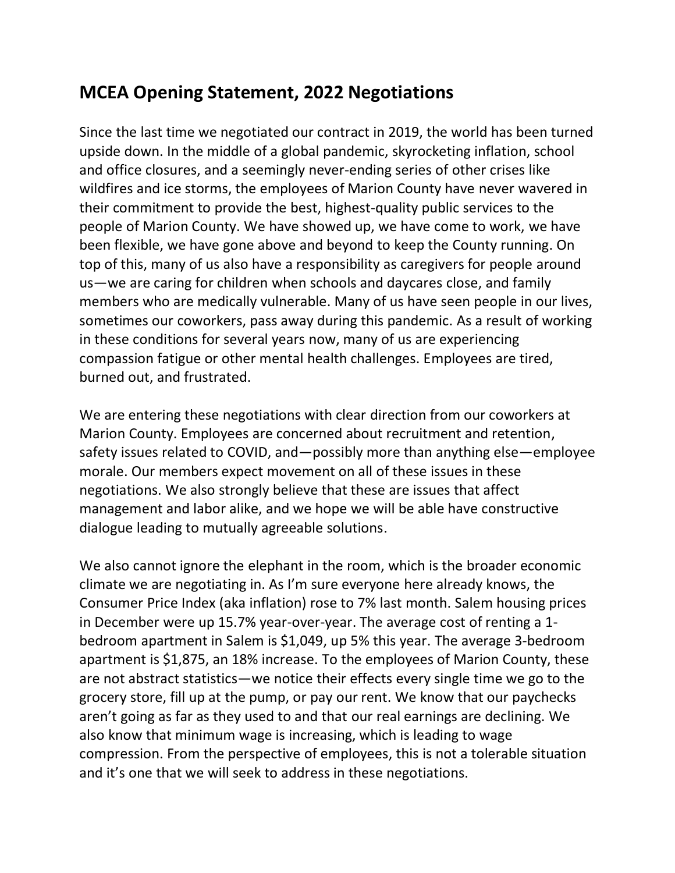## **MCEA Opening Statement, 2022 Negotiations**

Since the last time we negotiated our contract in 2019, the world has been turned upside down. In the middle of a global pandemic, skyrocketing inflation, school and office closures, and a seemingly never-ending series of other crises like wildfires and ice storms, the employees of Marion County have never wavered in their commitment to provide the best, highest-quality public services to the people of Marion County. We have showed up, we have come to work, we have been flexible, we have gone above and beyond to keep the County running. On top of this, many of us also have a responsibility as caregivers for people around us—we are caring for children when schools and daycares close, and family members who are medically vulnerable. Many of us have seen people in our lives, sometimes our coworkers, pass away during this pandemic. As a result of working in these conditions for several years now, many of us are experiencing compassion fatigue or other mental health challenges. Employees are tired, burned out, and frustrated.

We are entering these negotiations with clear direction from our coworkers at Marion County. Employees are concerned about recruitment and retention, safety issues related to COVID, and—possibly more than anything else—employee morale. Our members expect movement on all of these issues in these negotiations. We also strongly believe that these are issues that affect management and labor alike, and we hope we will be able have constructive dialogue leading to mutually agreeable solutions.

We also cannot ignore the elephant in the room, which is the broader economic climate we are negotiating in. As I'm sure everyone here already knows, the Consumer Price Index (aka inflation) rose to 7% last month. Salem housing prices in December were up 15.7% year-over-year. The average cost of renting a 1 bedroom apartment in Salem is \$1,049, up 5% this year. The average 3-bedroom apartment is \$1,875, an 18% increase. To the employees of Marion County, these are not abstract statistics—we notice their effects every single time we go to the grocery store, fill up at the pump, or pay our rent. We know that our paychecks aren't going as far as they used to and that our real earnings are declining. We also know that minimum wage is increasing, which is leading to wage compression. From the perspective of employees, this is not a tolerable situation and it's one that we will seek to address in these negotiations.